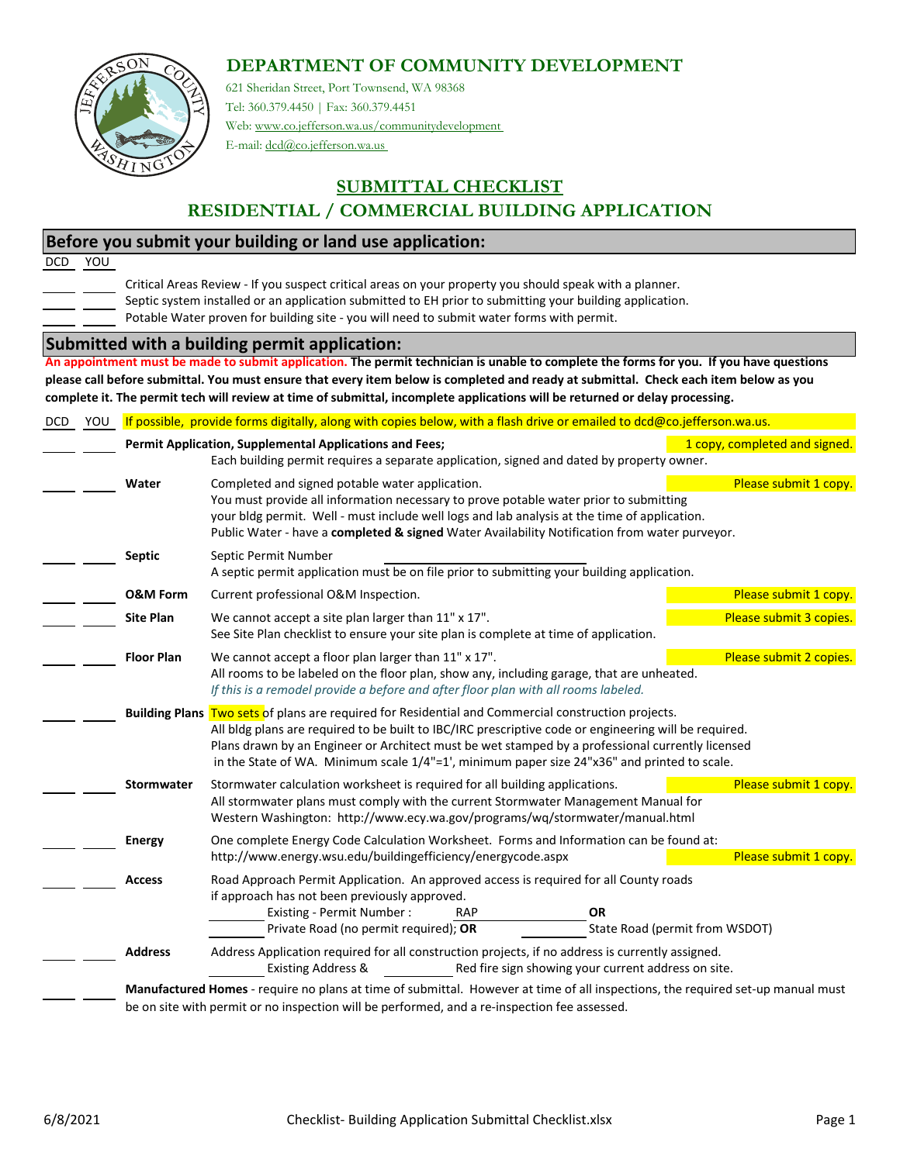## **DEPARTMENT OF COMMUNITY DEVELOPMENT**



621 Sheridan Street, Port Townsend, WA 98368 Tel: 360.379.4450 | Fax: 360.379.4451 Web: www.co.jefferson.wa.us/communitydevelopment

E-mail: dcd@co.jefferson.wa.us

## **SUBMITTAL CHECKLIST RESIDENTIAL / COMMERCIAL BUILDING APPLICATION**

## **Before you submit your building or land use application:**

DCD YOU

Critical Areas Review ‐ If you suspect critical areas on your property you should speak with a planner.

- Septic system installed or an application submitted to EH prior to submitting your building application.
- Potable Water proven for building site ‐ you will need to submit water forms with permit.

## **Submitted with a building permit application:**

An appointment must be made to submit application. The permit technician is unable to complete the forms for you. If you have questions please call before submittal. You must ensure that every item below is completed and ready at submittal. Check each item below as you complete it. The permit tech will review at time of submittal, incomplete applications will be returned or delay processing.

| YOU |                                                                                                                                                                                                                                                                                                                                                                                                                    | If possible, provide forms digitally, along with copies below, with a flash drive or emailed to dcd@co.jefferson.wa.us.                                                                                                                                                                                                                                            |                         |  |  |  |  |  |  |  |
|-----|--------------------------------------------------------------------------------------------------------------------------------------------------------------------------------------------------------------------------------------------------------------------------------------------------------------------------------------------------------------------------------------------------------------------|--------------------------------------------------------------------------------------------------------------------------------------------------------------------------------------------------------------------------------------------------------------------------------------------------------------------------------------------------------------------|-------------------------|--|--|--|--|--|--|--|
|     |                                                                                                                                                                                                                                                                                                                                                                                                                    | Permit Application, Supplemental Applications and Fees;<br>1 copy, completed and signed.<br>Each building permit requires a separate application, signed and dated by property owner.                                                                                                                                                                              |                         |  |  |  |  |  |  |  |
|     | Water                                                                                                                                                                                                                                                                                                                                                                                                              | Completed and signed potable water application.<br>Please submit 1 copy.<br>You must provide all information necessary to prove potable water prior to submitting<br>your bldg permit. Well - must include well logs and lab analysis at the time of application.<br>Public Water - have a completed & signed Water Availability Notification from water purveyor. |                         |  |  |  |  |  |  |  |
|     | <b>Septic</b>                                                                                                                                                                                                                                                                                                                                                                                                      | Septic Permit Number<br>A septic permit application must be on file prior to submitting your building application.                                                                                                                                                                                                                                                 |                         |  |  |  |  |  |  |  |
|     | <b>O&amp;M Form</b>                                                                                                                                                                                                                                                                                                                                                                                                | Current professional O&M Inspection.                                                                                                                                                                                                                                                                                                                               | Please submit 1 copy.   |  |  |  |  |  |  |  |
|     | <b>Site Plan</b>                                                                                                                                                                                                                                                                                                                                                                                                   | We cannot accept a site plan larger than 11" x 17".<br>See Site Plan checklist to ensure your site plan is complete at time of application.                                                                                                                                                                                                                        | Please submit 3 copies. |  |  |  |  |  |  |  |
|     | <b>Floor Plan</b>                                                                                                                                                                                                                                                                                                                                                                                                  | We cannot accept a floor plan larger than 11" x 17".<br>All rooms to be labeled on the floor plan, show any, including garage, that are unheated.<br>If this is a remodel provide a before and after floor plan with all rooms labeled.                                                                                                                            | Please submit 2 copies. |  |  |  |  |  |  |  |
|     | Building Plans Two sets of plans are required for Residential and Commercial construction projects.<br>All bldg plans are required to be built to IBC/IRC prescriptive code or engineering will be required.<br>Plans drawn by an Engineer or Architect must be wet stamped by a professional currently licensed<br>in the State of WA. Minimum scale $1/4$ "=1', minimum paper size 24"x36" and printed to scale. |                                                                                                                                                                                                                                                                                                                                                                    |                         |  |  |  |  |  |  |  |
|     | <b>Stormwater</b>                                                                                                                                                                                                                                                                                                                                                                                                  | Stormwater calculation worksheet is required for all building applications.<br>All stormwater plans must comply with the current Stormwater Management Manual for<br>Western Washington: http://www.ecy.wa.gov/programs/wq/stormwater/manual.html                                                                                                                  | Please submit 1 copy.   |  |  |  |  |  |  |  |
|     | <b>Energy</b>                                                                                                                                                                                                                                                                                                                                                                                                      | One complete Energy Code Calculation Worksheet. Forms and Information can be found at:<br>http://www.energy.wsu.edu/buildingefficiency/energycode.aspx                                                                                                                                                                                                             | Please submit 1 copy.   |  |  |  |  |  |  |  |
|     | <b>Access</b>                                                                                                                                                                                                                                                                                                                                                                                                      | Road Approach Permit Application. An approved access is required for all County roads<br>if approach has not been previously approved.<br>Existing - Permit Number:<br><b>OR</b><br><b>RAP</b><br>Private Road (no permit required); OR<br>State Road (permit from WSDOT)                                                                                          |                         |  |  |  |  |  |  |  |
|     | <b>Address</b>                                                                                                                                                                                                                                                                                                                                                                                                     | Address Application required for all construction projects, if no address is currently assigned.<br><b>Existing Address &amp;</b><br>Red fire sign showing your current address on site.                                                                                                                                                                           |                         |  |  |  |  |  |  |  |
|     |                                                                                                                                                                                                                                                                                                                                                                                                                    | Manufactured Homes - require no plans at time of submittal. However at time of all inspections, the required set-up manual must<br>be on site with permit or no inspection will be performed, and a re-inspection fee assessed.                                                                                                                                    |                         |  |  |  |  |  |  |  |
|     |                                                                                                                                                                                                                                                                                                                                                                                                                    |                                                                                                                                                                                                                                                                                                                                                                    |                         |  |  |  |  |  |  |  |